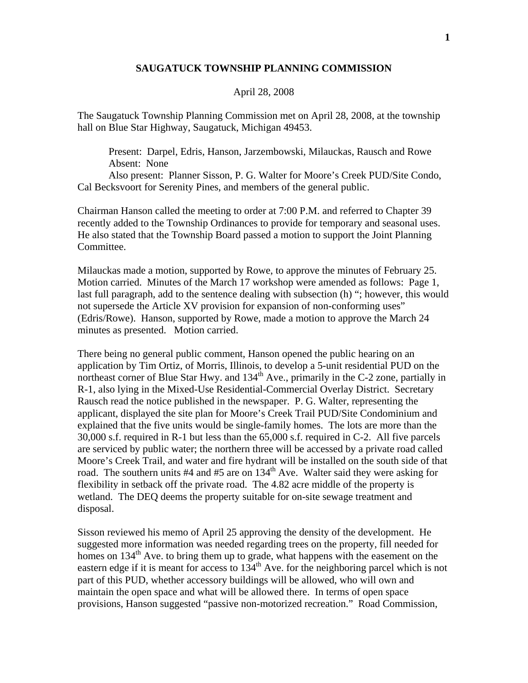## **SAUGATUCK TOWNSHIP PLANNING COMMISSION**

## April 28, 2008

The Saugatuck Township Planning Commission met on April 28, 2008, at the township hall on Blue Star Highway, Saugatuck, Michigan 49453.

 Present: Darpel, Edris, Hanson, Jarzembowski, Milauckas, Rausch and Rowe Absent: None

 Also present: Planner Sisson, P. G. Walter for Moore's Creek PUD/Site Condo, Cal Becksvoort for Serenity Pines, and members of the general public.

Chairman Hanson called the meeting to order at 7:00 P.M. and referred to Chapter 39 recently added to the Township Ordinances to provide for temporary and seasonal uses. He also stated that the Township Board passed a motion to support the Joint Planning Committee.

Milauckas made a motion, supported by Rowe, to approve the minutes of February 25. Motion carried. Minutes of the March 17 workshop were amended as follows: Page 1, last full paragraph, add to the sentence dealing with subsection (h) "; however, this would not supersede the Article XV provision for expansion of non-conforming uses" (Edris/Rowe). Hanson, supported by Rowe, made a motion to approve the March 24 minutes as presented. Motion carried.

There being no general public comment, Hanson opened the public hearing on an application by Tim Ortiz, of Morris, Illinois, to develop a 5-unit residential PUD on the northeast corner of Blue Star Hwy. and  $134<sup>th</sup>$  Ave., primarily in the C-2 zone, partially in R-1, also lying in the Mixed-Use Residential-Commercial Overlay District. Secretary Rausch read the notice published in the newspaper. P. G. Walter, representing the applicant, displayed the site plan for Moore's Creek Trail PUD/Site Condominium and explained that the five units would be single-family homes. The lots are more than the 30,000 s.f. required in R-1 but less than the 65,000 s.f. required in C-2. All five parcels are serviced by public water; the northern three will be accessed by a private road called Moore's Creek Trail, and water and fire hydrant will be installed on the south side of that road. The southern units  $#4$  and  $#5$  are on  $134<sup>th</sup>$  Ave. Walter said they were asking for flexibility in setback off the private road. The 4.82 acre middle of the property is wetland. The DEQ deems the property suitable for on-site sewage treatment and disposal.

Sisson reviewed his memo of April 25 approving the density of the development. He suggested more information was needed regarding trees on the property, fill needed for homes on  $134<sup>th</sup>$  Ave. to bring them up to grade, what happens with the easement on the eastern edge if it is meant for access to  $134<sup>th</sup>$  Ave. for the neighboring parcel which is not part of this PUD, whether accessory buildings will be allowed, who will own and maintain the open space and what will be allowed there. In terms of open space provisions, Hanson suggested "passive non-motorized recreation." Road Commission,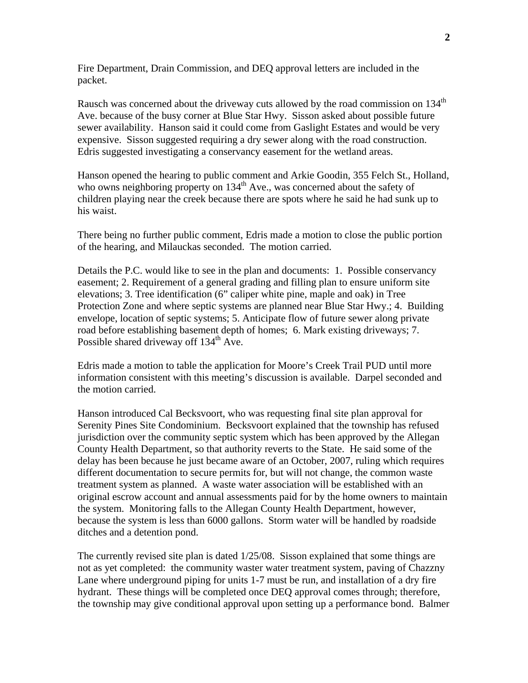Fire Department, Drain Commission, and DEQ approval letters are included in the packet.

Rausch was concerned about the driveway cuts allowed by the road commission on 134<sup>th</sup> Ave. because of the busy corner at Blue Star Hwy. Sisson asked about possible future sewer availability. Hanson said it could come from Gaslight Estates and would be very expensive. Sisson suggested requiring a dry sewer along with the road construction. Edris suggested investigating a conservancy easement for the wetland areas.

Hanson opened the hearing to public comment and Arkie Goodin, 355 Felch St., Holland, who owns neighboring property on  $134<sup>th</sup>$  Ave., was concerned about the safety of children playing near the creek because there are spots where he said he had sunk up to his waist.

There being no further public comment, Edris made a motion to close the public portion of the hearing, and Milauckas seconded. The motion carried.

Details the P.C. would like to see in the plan and documents: 1. Possible conservancy easement; 2. Requirement of a general grading and filling plan to ensure uniform site elevations; 3. Tree identification (6" caliper white pine, maple and oak) in Tree Protection Zone and where septic systems are planned near Blue Star Hwy.; 4. Building envelope, location of septic systems; 5. Anticipate flow of future sewer along private road before establishing basement depth of homes; 6. Mark existing driveways; 7. Possible shared driveway off 134<sup>th</sup> Ave.

Edris made a motion to table the application for Moore's Creek Trail PUD until more information consistent with this meeting's discussion is available. Darpel seconded and the motion carried.

Hanson introduced Cal Becksvoort, who was requesting final site plan approval for Serenity Pines Site Condominium. Becksvoort explained that the township has refused jurisdiction over the community septic system which has been approved by the Allegan County Health Department, so that authority reverts to the State. He said some of the delay has been because he just became aware of an October, 2007, ruling which requires different documentation to secure permits for, but will not change, the common waste treatment system as planned. A waste water association will be established with an original escrow account and annual assessments paid for by the home owners to maintain the system. Monitoring falls to the Allegan County Health Department, however, because the system is less than 6000 gallons. Storm water will be handled by roadside ditches and a detention pond.

The currently revised site plan is dated 1/25/08. Sisson explained that some things are not as yet completed: the community waster water treatment system, paving of Chazzny Lane where underground piping for units 1-7 must be run, and installation of a dry fire hydrant. These things will be completed once DEQ approval comes through; therefore, the township may give conditional approval upon setting up a performance bond. Balmer